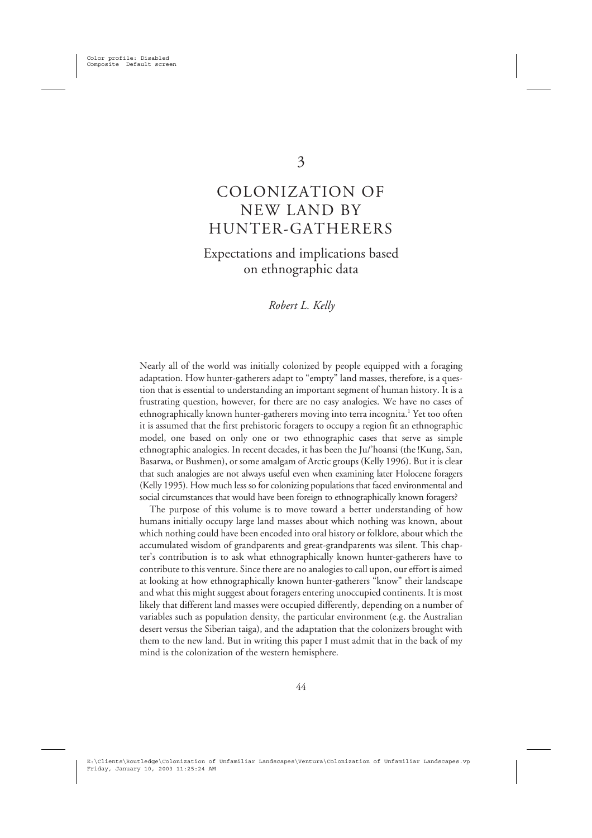3

# COLONIZATION OF NEW LAND BY HUNTER-GATHERERS

Expectations and implications based on ethnographic data

# *Robert L. Kelly*

Nearly all of the world was initially colonized by people equipped with a foraging adaptation. How hunter-gatherers adapt to "empty" land masses, therefore, is a question that is essential to understanding an important segment of human history. It is a frustrating question, however, for there are no easy analogies. We have no cases of ethnographically known hunter-gatherers moving into terra incognita.<sup>1</sup> Yet too often it is assumed that the first prehistoric foragers to occupy a region fit an ethnographic model, one based on only one or two ethnographic cases that serve as simple ethnographic analogies. In recent decades, it has been the Ju/'hoansi (the !Kung, San, Basarwa, or Bushmen), or some amalgam of Arctic groups (Kelly 1996). But it is clear that such analogies are not always useful even when examining later Holocene foragers (Kelly 1995). How much less so for colonizing populations that faced environmental and social circumstances that would have been foreign to ethnographically known foragers?

The purpose of this volume is to move toward a better understanding of how humans initially occupy large land masses about which nothing was known, about which nothing could have been encoded into oral history or folklore, about which the accumulated wisdom of grandparents and great-grandparents was silent. This chapter's contribution is to ask what ethnographically known hunter-gatherers have to contribute to this venture. Since there are no analogies to call upon, our effort is aimed at looking at how ethnographically known hunter-gatherers "know" their landscape and what this might suggest about foragers entering unoccupied continents. It is most likely that different land masses were occupied differently, depending on a number of variables such as population density, the particular environment (e.g. the Australian desert versus the Siberian taiga), and the adaptation that the colonizers brought with them to the new land. But in writing this paper I must admit that in the back of my mind is the colonization of the western hemisphere.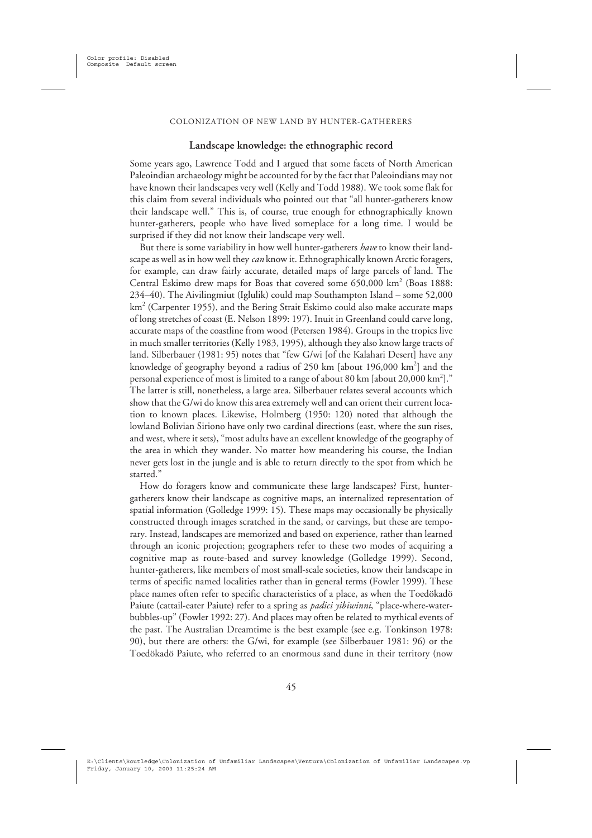# **Landscape knowledge: the ethnographic record**

Some years ago, Lawrence Todd and I argued that some facets of North American Paleoindian archaeology might be accounted for by the fact that Paleoindians may not have known their landscapes very well (Kelly and Todd 1988). We took some flak for this claim from several individuals who pointed out that "all hunter-gatherers know their landscape well." This is, of course, true enough for ethnographically known hunter-gatherers, people who have lived someplace for a long time. I would be surprised if they did not know their landscape very well.

But there is some variability in how well hunter-gatherers *have* to know their landscape as well as in how well they *can* know it. Ethnographically known Arctic foragers, for example, can draw fairly accurate, detailed maps of large parcels of land. The Central Eskimo drew maps for Boas that covered some 650,000 km<sup>2</sup> (Boas 1888: 234–40). The Aivilingmiut (Iglulik) could map Southampton Island – some 52,000 km<sup>2</sup> (Carpenter 1955), and the Bering Strait Eskimo could also make accurate maps of long stretches of coast (E. Nelson 1899: 197). Inuit in Greenland could carve long, accurate maps of the coastline from wood (Petersen 1984). Groups in the tropics live in much smaller territories (Kelly 1983, 1995), although they also know large tracts of land. Silberbauer (1981: 95) notes that "few G/wi [of the Kalahari Desert] have any knowledge of geography beyond a radius of 250 km [about 196,000 km<sup>2</sup>] and the personal experience of most is limited to a range of about 80 km [about 20,000 km<sup>2</sup>]." The latter is still, nonetheless, a large area. Silberbauer relates several accounts which show that the G/wi do know this area extremely well and can orient their current location to known places. Likewise, Holmberg (1950: 120) noted that although the lowland Bolivian Siriono have only two cardinal directions (east, where the sun rises, and west, where it sets), "most adults have an excellent knowledge of the geography of the area in which they wander. No matter how meandering his course, the Indian never gets lost in the jungle and is able to return directly to the spot from which he started."

How do foragers know and communicate these large landscapes? First, huntergatherers know their landscape as cognitive maps, an internalized representation of spatial information (Golledge 1999: 15). These maps may occasionally be physically constructed through images scratched in the sand, or carvings, but these are temporary. Instead, landscapes are memorized and based on experience, rather than learned through an iconic projection; geographers refer to these two modes of acquiring a cognitive map as route-based and survey knowledge (Golledge 1999). Second, hunter-gatherers, like members of most small-scale societies, know their landscape in terms of specific named localities rather than in general terms (Fowler 1999). These place names often refer to specific characteristics of a place, as when the Toedökadö Paiute (cattail-eater Paiute) refer to a spring as *padici yibiwinni*, "place-where-waterbubbles-up" (Fowler 1992: 27). And places may often be related to mythical events of the past. The Australian Dreamtime is the best example (see e.g. Tonkinson 1978: 90), but there are others: the G/wi, for example (see Silberbauer 1981: 96) or the Toedökadö Paiute, who referred to an enormous sand dune in their territory (now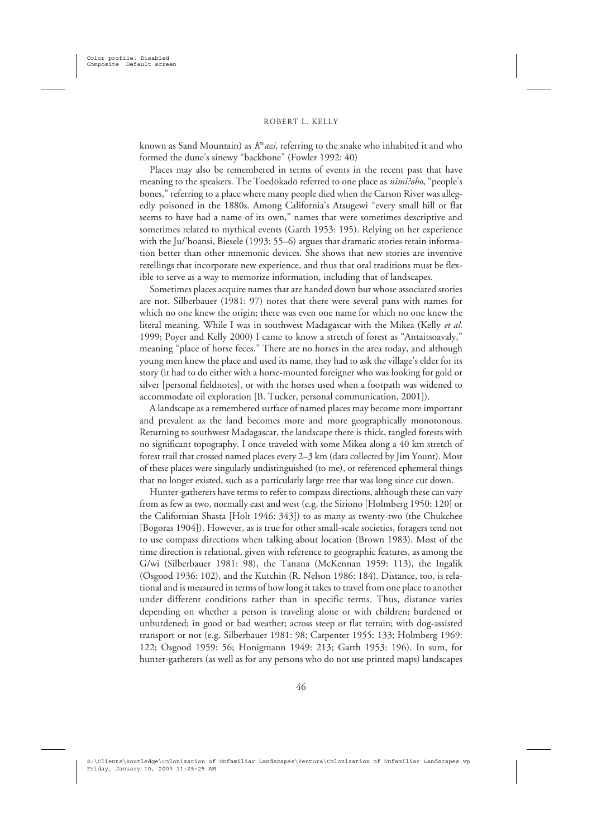known as Sand Mountain) as *Kw azi*, referring to the snake who inhabited it and who formed the dune's sinewy "backbone" (Fowler 1992: 40)

Places may also be remembered in terms of events in the recent past that have meaning to the speakers. The Toedökadö referred to one place as *nimi?oho*, "people's bones," referring to a place where many people died when the Carson River was allegedly poisoned in the 1880s. Among California's Atsugewi "every small hill or flat seems to have had a name of its own," names that were sometimes descriptive and sometimes related to mythical events (Garth 1953: 195). Relying on her experience with the Ju/'hoansi, Biesele (1993: 55–6) argues that dramatic stories retain information better than other mnemonic devices. She shows that new stories are inventive retellings that incorporate new experience, and thus that oral traditions must be flexible to serve as a way to memorize information, including that of landscapes.

Sometimes places acquire names that are handed down but whose associated stories are not. Silberbauer (1981: 97) notes that there were several pans with names for which no one knew the origin; there was even one name for which no one knew the literal meaning. While I was in southwest Madagascar with the Mikea (Kelly *et al.* 1999; Poyer and Kelly 2000) I came to know a stretch of forest as "Antaitsoavaly," meaning "place of horse feces." There are no horses in the area today, and although young men knew the place and used its name, they had to ask the village's elder for its story (it had to do either with a horse-mounted foreigner who was looking for gold or silver [personal fieldnotes], or with the horses used when a footpath was widened to accommodate oil exploration [B. Tucker, personal communication, 2001]).

A landscape as a remembered surface of named places may become more important and prevalent as the land becomes more and more geographically monotonous. Returning to southwest Madagascar, the landscape there is thick, tangled forests with no significant topography. I once traveled with some Mikea along a 40 km stretch of forest trail that crossed named places every 2–3 km (data collected by Jim Yount). Most of these places were singularly undistinguished (to me), or referenced ephemeral things that no longer existed, such as a particularly large tree that was long since cut down.

Hunter-gatherers have terms to refer to compass directions, although these can vary from as few as two, normally east and west (e.g. the Siriono [Holmberg 1950: 120] or the Californian Shasta [Holt 1946: 343]) to as many as twenty-two (the Chukchee [Bogoras 1904]). However, as is true for other small-scale societies, foragers tend not to use compass directions when talking about location (Brown 1983). Most of the time direction is relational, given with reference to geographic features, as among the G/wi (Silberbauer 1981: 98), the Tanana (McKennan 1959: 113), the Ingalik (Osgood 1936: 102), and the Kutchin (R. Nelson 1986: 184). Distance, too, is relational and is measured in terms of how long it takes to travel from one place to another under different conditions rather than in specific terms. Thus, distance varies depending on whether a person is traveling alone or with children; burdened or unburdened; in good or bad weather; across steep or flat terrain; with dog-assisted transport or not (e.g. Silberbauer 1981: 98; Carpenter 1955: 133; Holmberg 1969: 122; Osgood 1959: 56; Honigmann 1949: 213; Garth 1953: 196). In sum, for hunter-gatherers (as well as for any persons who do not use printed maps) landscapes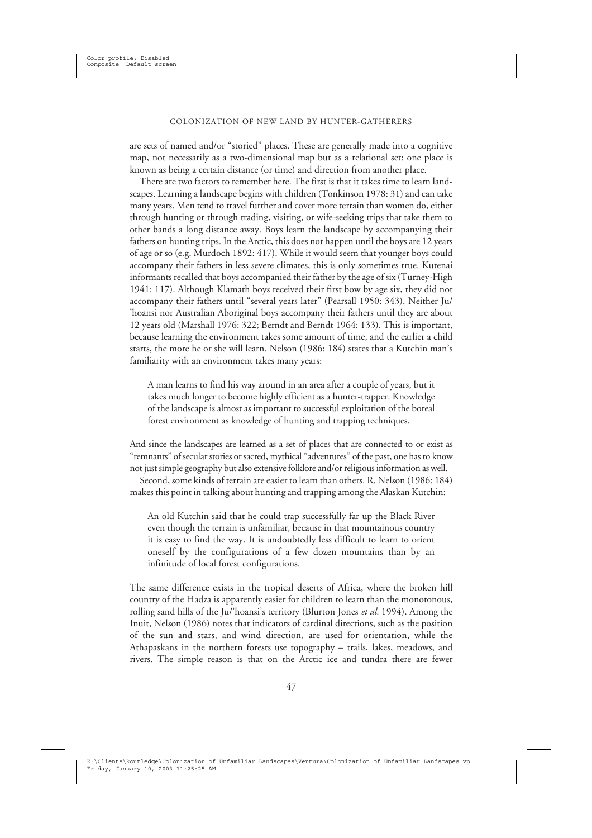are sets of named and/or "storied" places. These are generally made into a cognitive map, not necessarily as a two-dimensional map but as a relational set: one place is known as being a certain distance (or time) and direction from another place.

There are two factors to remember here. The first is that it takes time to learn landscapes. Learning a landscape begins with children (Tonkinson 1978: 31) and can take many years. Men tend to travel further and cover more terrain than women do, either through hunting or through trading, visiting, or wife-seeking trips that take them to other bands a long distance away. Boys learn the landscape by accompanying their fathers on hunting trips. In the Arctic, this does not happen until the boys are 12 years of age or so (e.g. Murdoch 1892: 417). While it would seem that younger boys could accompany their fathers in less severe climates, this is only sometimes true. Kutenai informants recalled that boys accompanied their father by the age of six (Turney-High 1941: 117). Although Klamath boys received their first bow by age six, they did not accompany their fathers until "several years later" (Pearsall 1950: 343). Neither Ju/ 'hoansi nor Australian Aboriginal boys accompany their fathers until they are about 12 years old (Marshall 1976: 322; Berndt and Berndt 1964: 133). This is important, because learning the environment takes some amount of time, and the earlier a child starts, the more he or she will learn. Nelson (1986: 184) states that a Kutchin man's familiarity with an environment takes many years:

A man learns to find his way around in an area after a couple of years, but it takes much longer to become highly efficient as a hunter-trapper. Knowledge of the landscape is almost as important to successful exploitation of the boreal forest environment as knowledge of hunting and trapping techniques.

And since the landscapes are learned as a set of places that are connected to or exist as "remnants" of secular stories or sacred, mythical "adventures" of the past, one has to know not just simple geography but also extensive folklore and/or religious information as well. Second, some kinds of terrain are easier to learn than others. R. Nelson (1986: 184) makes this point in talking about hunting and trapping among the Alaskan Kutchin:

An old Kutchin said that he could trap successfully far up the Black River even though the terrain is unfamiliar, because in that mountainous country it is easy to find the way. It is undoubtedly less difficult to learn to orient oneself by the configurations of a few dozen mountains than by an infinitude of local forest configurations.

The same difference exists in the tropical deserts of Africa, where the broken hill country of the Hadza is apparently easier for children to learn than the monotonous, rolling sand hills of the Ju/'hoansi's territory (Blurton Jones *et al.* 1994). Among the Inuit, Nelson (1986) notes that indicators of cardinal directions, such as the position of the sun and stars, and wind direction, are used for orientation, while the Athapaskans in the northern forests use topography – trails, lakes, meadows, and rivers. The simple reason is that on the Arctic ice and tundra there are fewer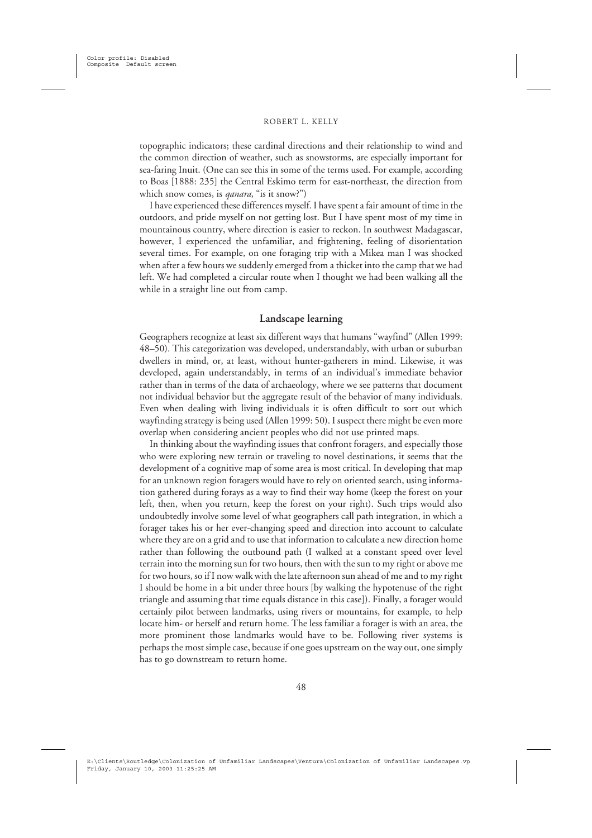topographic indicators; these cardinal directions and their relationship to wind and the common direction of weather, such as snowstorms, are especially important for sea-faring Inuit. (One can see this in some of the terms used. For example, according to Boas [1888: 235] the Central Eskimo term for east-northeast, the direction from which snow comes, is *qanara*, "is it snow?")

I have experienced these differences myself. I have spent a fair amount of time in the outdoors, and pride myself on not getting lost. But I have spent most of my time in mountainous country, where direction is easier to reckon. In southwest Madagascar, however, I experienced the unfamiliar, and frightening, feeling of disorientation several times. For example, on one foraging trip with a Mikea man I was shocked when after a few hours we suddenly emerged from a thicket into the camp that we had left. We had completed a circular route when I thought we had been walking all the while in a straight line out from camp.

### **Landscape learning**

Geographers recognize at least six different ways that humans "wayfind" (Allen 1999: 48–50). This categorization was developed, understandably, with urban or suburban dwellers in mind, or, at least, without hunter-gatherers in mind. Likewise, it was developed, again understandably, in terms of an individual's immediate behavior rather than in terms of the data of archaeology, where we see patterns that document not individual behavior but the aggregate result of the behavior of many individuals. Even when dealing with living individuals it is often difficult to sort out which wayfinding strategy is being used (Allen 1999: 50). I suspect there might be even more overlap when considering ancient peoples who did not use printed maps.

In thinking about the wayfinding issues that confront foragers, and especially those who were exploring new terrain or traveling to novel destinations, it seems that the development of a cognitive map of some area is most critical. In developing that map for an unknown region foragers would have to rely on oriented search, using information gathered during forays as a way to find their way home (keep the forest on your left, then, when you return, keep the forest on your right). Such trips would also undoubtedly involve some level of what geographers call path integration, in which a forager takes his or her ever-changing speed and direction into account to calculate where they are on a grid and to use that information to calculate a new direction home rather than following the outbound path (I walked at a constant speed over level terrain into the morning sun for two hours, then with the sun to my right or above me for two hours, so if I now walk with the late afternoon sun ahead of me and to my right I should be home in a bit under three hours [by walking the hypotenuse of the right triangle and assuming that time equals distance in this case]). Finally, a forager would certainly pilot between landmarks, using rivers or mountains, for example, to help locate him- or herself and return home. The less familiar a forager is with an area, the more prominent those landmarks would have to be. Following river systems is perhaps the most simple case, because if one goes upstream on the way out, one simply has to go downstream to return home.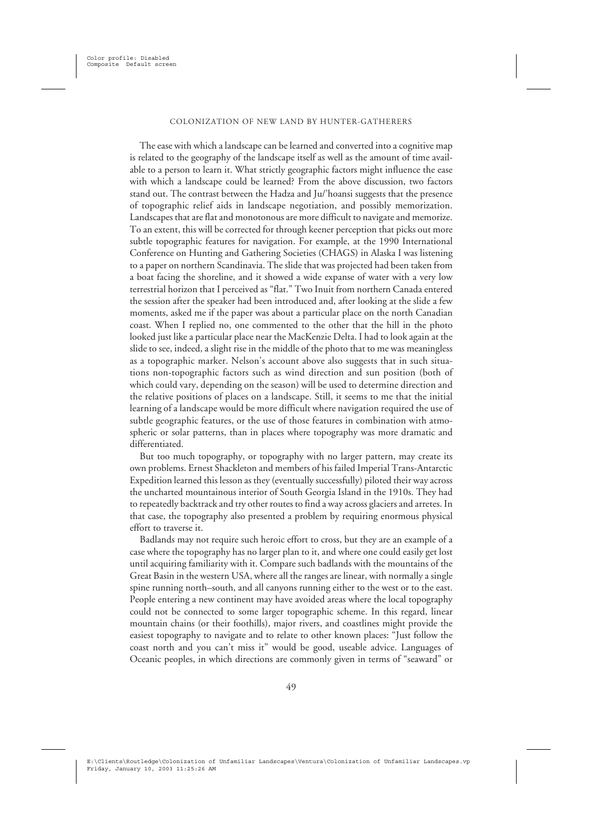The ease with which a landscape can be learned and converted into a cognitive map is related to the geography of the landscape itself as well as the amount of time available to a person to learn it. What strictly geographic factors might influence the ease with which a landscape could be learned? From the above discussion, two factors stand out. The contrast between the Hadza and Ju/'hoansi suggests that the presence of topographic relief aids in landscape negotiation, and possibly memorization. Landscapes that are flat and monotonous are more difficult to navigate and memorize. To an extent, this will be corrected for through keener perception that picks out more subtle topographic features for navigation. For example, at the 1990 International Conference on Hunting and Gathering Societies (CHAGS) in Alaska I was listening to a paper on northern Scandinavia. The slide that was projected had been taken from a boat facing the shoreline, and it showed a wide expanse of water with a very low terrestrial horizon that I perceived as "flat." Two Inuit from northern Canada entered the session after the speaker had been introduced and, after looking at the slide a few moments, asked me if the paper was about a particular place on the north Canadian coast. When I replied no, one commented to the other that the hill in the photo looked just like a particular place near the MacKenzie Delta. I had to look again at the slide to see, indeed, a slight rise in the middle of the photo that to me was meaningless as a topographic marker. Nelson's account above also suggests that in such situations non-topographic factors such as wind direction and sun position (both of which could vary, depending on the season) will be used to determine direction and the relative positions of places on a landscape. Still, it seems to me that the initial learning of a landscape would be more difficult where navigation required the use of subtle geographic features, or the use of those features in combination with atmospheric or solar patterns, than in places where topography was more dramatic and differentiated.

But too much topography, or topography with no larger pattern, may create its own problems. Ernest Shackleton and members of his failed Imperial Trans-Antarctic Expedition learned this lesson as they (eventually successfully) piloted their way across the uncharted mountainous interior of South Georgia Island in the 1910s. They had to repeatedly backtrack and try other routes to find a way across glaciers and arretes. In that case, the topography also presented a problem by requiring enormous physical effort to traverse it.

Badlands may not require such heroic effort to cross, but they are an example of a case where the topography has no larger plan to it, and where one could easily get lost until acquiring familiarity with it. Compare such badlands with the mountains of the Great Basin in the western USA, where all the ranges are linear, with normally a single spine running north–south, and all canyons running either to the west or to the east. People entering a new continent may have avoided areas where the local topography could not be connected to some larger topographic scheme. In this regard, linear mountain chains (or their foothills), major rivers, and coastlines might provide the easiest topography to navigate and to relate to other known places: "Just follow the coast north and you can't miss it" would be good, useable advice. Languages of Oceanic peoples, in which directions are commonly given in terms of "seaward" or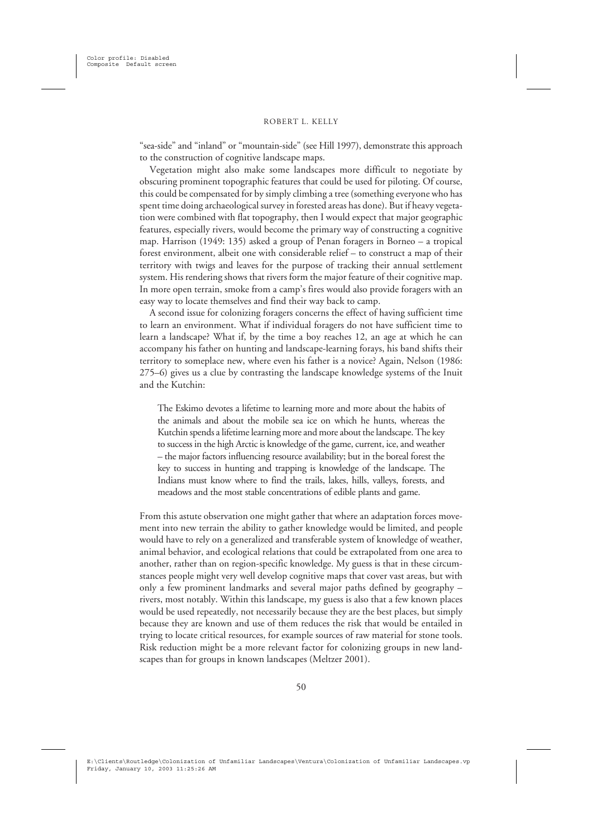"sea-side" and "inland" or "mountain-side" (see Hill 1997), demonstrate this approach to the construction of cognitive landscape maps.

Vegetation might also make some landscapes more difficult to negotiate by obscuring prominent topographic features that could be used for piloting. Of course, this could be compensated for by simply climbing a tree (something everyone who has spent time doing archaeological survey in forested areas has done). But if heavy vegetation were combined with flat topography, then I would expect that major geographic features, especially rivers, would become the primary way of constructing a cognitive map. Harrison (1949: 135) asked a group of Penan foragers in Borneo – a tropical forest environment, albeit one with considerable relief – to construct a map of their territory with twigs and leaves for the purpose of tracking their annual settlement system. His rendering shows that rivers form the major feature of their cognitive map. In more open terrain, smoke from a camp's fires would also provide foragers with an easy way to locate themselves and find their way back to camp.

A second issue for colonizing foragers concerns the effect of having sufficient time to learn an environment. What if individual foragers do not have sufficient time to learn a landscape? What if, by the time a boy reaches 12, an age at which he can accompany his father on hunting and landscape-learning forays, his band shifts their territory to someplace new, where even his father is a novice? Again, Nelson (1986: 275–6) gives us a clue by contrasting the landscape knowledge systems of the Inuit and the Kutchin:

The Eskimo devotes a lifetime to learning more and more about the habits of the animals and about the mobile sea ice on which he hunts, whereas the Kutchin spends a lifetime learning more and more about the landscape. The key to success in the high Arctic is knowledge of the game, current, ice, and weather – the major factors influencing resource availability; but in the boreal forest the key to success in hunting and trapping is knowledge of the landscape. The Indians must know where to find the trails, lakes, hills, valleys, forests, and meadows and the most stable concentrations of edible plants and game.

From this astute observation one might gather that where an adaptation forces movement into new terrain the ability to gather knowledge would be limited, and people would have to rely on a generalized and transferable system of knowledge of weather, animal behavior, and ecological relations that could be extrapolated from one area to another, rather than on region-specific knowledge. My guess is that in these circumstances people might very well develop cognitive maps that cover vast areas, but with only a few prominent landmarks and several major paths defined by geography – rivers, most notably. Within this landscape, my guess is also that a few known places would be used repeatedly, not necessarily because they are the best places, but simply because they are known and use of them reduces the risk that would be entailed in trying to locate critical resources, for example sources of raw material for stone tools. Risk reduction might be a more relevant factor for colonizing groups in new landscapes than for groups in known landscapes (Meltzer 2001).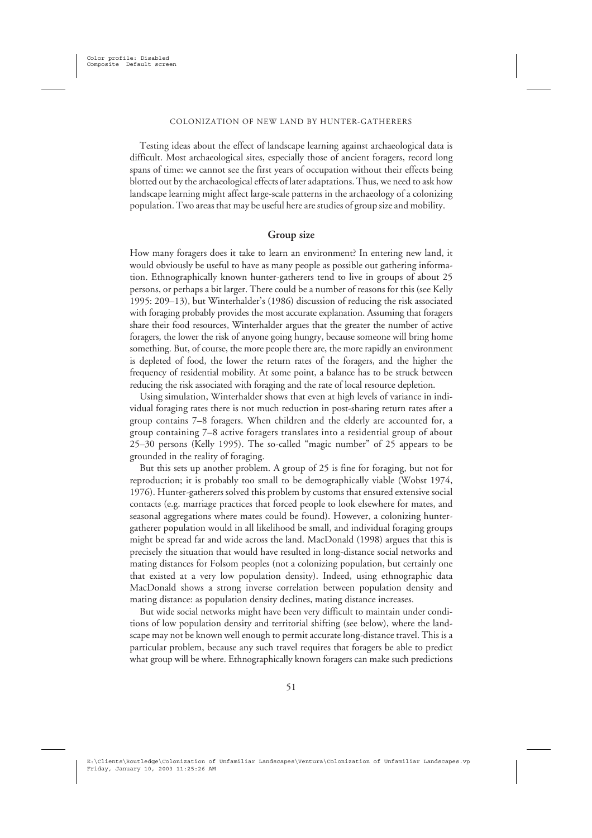Testing ideas about the effect of landscape learning against archaeological data is difficult. Most archaeological sites, especially those of ancient foragers, record long spans of time: we cannot see the first years of occupation without their effects being blotted out by the archaeological effects of later adaptations. Thus, we need to ask how landscape learning might affect large-scale patterns in the archaeology of a colonizing population. Two areas that may be useful here are studies of group size and mobility.

# **Group size**

How many foragers does it take to learn an environment? In entering new land, it would obviously be useful to have as many people as possible out gathering information. Ethnographically known hunter-gatherers tend to live in groups of about 25 persons, or perhaps a bit larger. There could be a number of reasons for this (see Kelly 1995: 209–13), but Winterhalder's (1986) discussion of reducing the risk associated with foraging probably provides the most accurate explanation. Assuming that foragers share their food resources, Winterhalder argues that the greater the number of active foragers, the lower the risk of anyone going hungry, because someone will bring home something. But, of course, the more people there are, the more rapidly an environment is depleted of food, the lower the return rates of the foragers, and the higher the frequency of residential mobility. At some point, a balance has to be struck between reducing the risk associated with foraging and the rate of local resource depletion.

Using simulation, Winterhalder shows that even at high levels of variance in individual foraging rates there is not much reduction in post-sharing return rates after a group contains 7–8 foragers. When children and the elderly are accounted for, a group containing 7–8 active foragers translates into a residential group of about 25–30 persons (Kelly 1995). The so-called "magic number" of 25 appears to be grounded in the reality of foraging.

But this sets up another problem. A group of 25 is fine for foraging, but not for reproduction; it is probably too small to be demographically viable (Wobst 1974, 1976). Hunter-gatherers solved this problem by customs that ensured extensive social contacts (e.g. marriage practices that forced people to look elsewhere for mates, and seasonal aggregations where mates could be found). However, a colonizing huntergatherer population would in all likelihood be small, and individual foraging groups might be spread far and wide across the land. MacDonald (1998) argues that this is precisely the situation that would have resulted in long-distance social networks and mating distances for Folsom peoples (not a colonizing population, but certainly one that existed at a very low population density). Indeed, using ethnographic data MacDonald shows a strong inverse correlation between population density and mating distance: as population density declines, mating distance increases.

But wide social networks might have been very difficult to maintain under conditions of low population density and territorial shifting (see below), where the landscape may not be known well enough to permit accurate long-distance travel. This is a particular problem, because any such travel requires that foragers be able to predict what group will be where. Ethnographically known foragers can make such predictions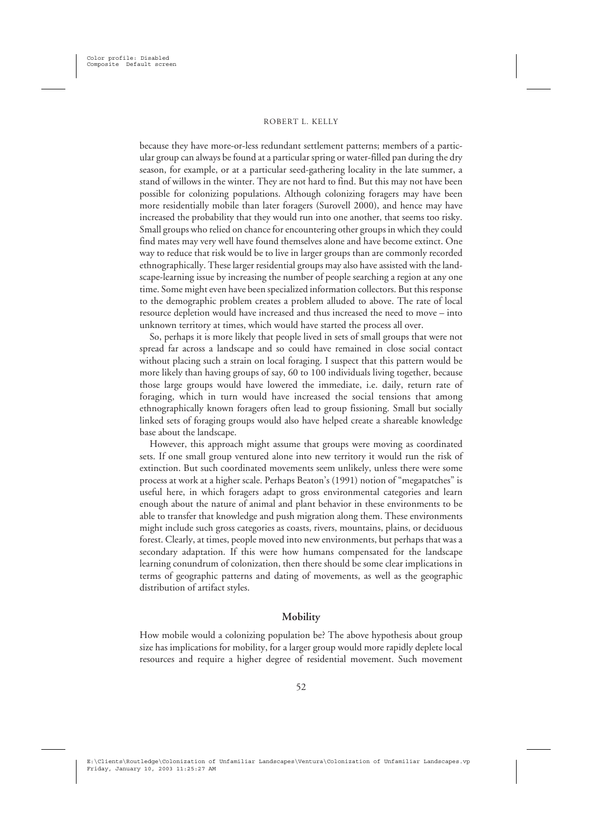because they have more-or-less redundant settlement patterns; members of a particular group can always be found at a particular spring or water-filled pan during the dry season, for example, or at a particular seed-gathering locality in the late summer, a stand of willows in the winter. They are not hard to find. But this may not have been possible for colonizing populations. Although colonizing foragers may have been more residentially mobile than later foragers (Surovell 2000), and hence may have increased the probability that they would run into one another, that seems too risky. Small groups who relied on chance for encountering other groups in which they could find mates may very well have found themselves alone and have become extinct. One way to reduce that risk would be to live in larger groups than are commonly recorded ethnographically. These larger residential groups may also have assisted with the landscape-learning issue by increasing the number of people searching a region at any one time. Some might even have been specialized information collectors. But this response to the demographic problem creates a problem alluded to above. The rate of local resource depletion would have increased and thus increased the need to move – into unknown territory at times, which would have started the process all over.

So, perhaps it is more likely that people lived in sets of small groups that were not spread far across a landscape and so could have remained in close social contact without placing such a strain on local foraging. I suspect that this pattern would be more likely than having groups of say, 60 to 100 individuals living together, because those large groups would have lowered the immediate, i.e. daily, return rate of foraging, which in turn would have increased the social tensions that among ethnographically known foragers often lead to group fissioning. Small but socially linked sets of foraging groups would also have helped create a shareable knowledge base about the landscape.

However, this approach might assume that groups were moving as coordinated sets. If one small group ventured alone into new territory it would run the risk of extinction. But such coordinated movements seem unlikely, unless there were some process at work at a higher scale. Perhaps Beaton's (1991) notion of "megapatches" is useful here, in which foragers adapt to gross environmental categories and learn enough about the nature of animal and plant behavior in these environments to be able to transfer that knowledge and push migration along them. These environments might include such gross categories as coasts, rivers, mountains, plains, or deciduous forest. Clearly, at times, people moved into new environments, but perhaps that was a secondary adaptation. If this were how humans compensated for the landscape learning conundrum of colonization, then there should be some clear implications in terms of geographic patterns and dating of movements, as well as the geographic distribution of artifact styles.

### **Mobility**

How mobile would a colonizing population be? The above hypothesis about group size has implications for mobility, for a larger group would more rapidly deplete local resources and require a higher degree of residential movement. Such movement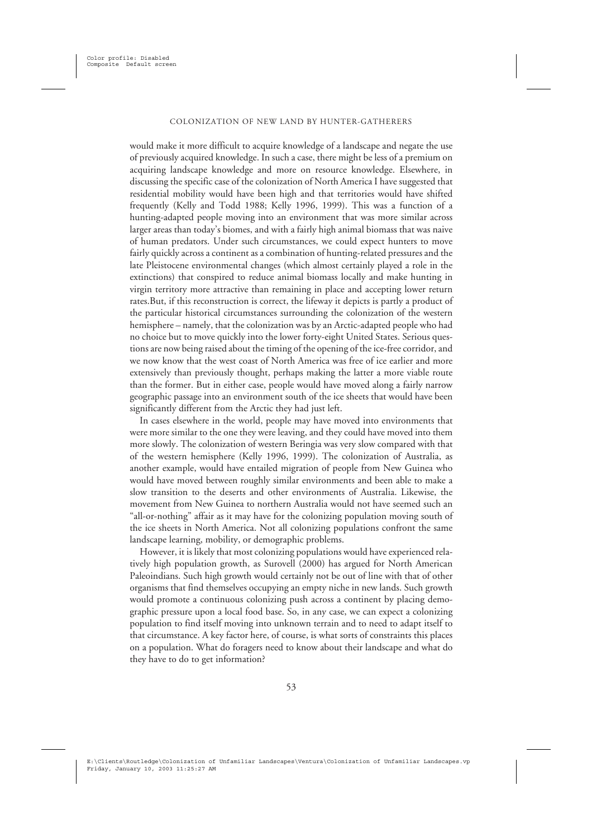would make it more difficult to acquire knowledge of a landscape and negate the use of previously acquired knowledge. In such a case, there might be less of a premium on acquiring landscape knowledge and more on resource knowledge. Elsewhere, in discussing the specific case of the colonization of North America I have suggested that residential mobility would have been high and that territories would have shifted frequently (Kelly and Todd 1988; Kelly 1996, 1999). This was a function of a hunting-adapted people moving into an environment that was more similar across larger areas than today's biomes, and with a fairly high animal biomass that was naive of human predators. Under such circumstances, we could expect hunters to move fairly quickly across a continent as a combination of hunting-related pressures and the late Pleistocene environmental changes (which almost certainly played a role in the extinctions) that conspired to reduce animal biomass locally and make hunting in virgin territory more attractive than remaining in place and accepting lower return rates.But, if this reconstruction is correct, the lifeway it depicts is partly a product of the particular historical circumstances surrounding the colonization of the western hemisphere – namely, that the colonization was by an Arctic-adapted people who had no choice but to move quickly into the lower forty-eight United States. Serious questions are now being raised about the timing of the opening of the ice-free corridor, and we now know that the west coast of North America was free of ice earlier and more extensively than previously thought, perhaps making the latter a more viable route than the former. But in either case, people would have moved along a fairly narrow geographic passage into an environment south of the ice sheets that would have been significantly different from the Arctic they had just left.

In cases elsewhere in the world, people may have moved into environments that were more similar to the one they were leaving, and they could have moved into them more slowly. The colonization of western Beringia was very slow compared with that of the western hemisphere (Kelly 1996, 1999). The colonization of Australia, as another example, would have entailed migration of people from New Guinea who would have moved between roughly similar environments and been able to make a slow transition to the deserts and other environments of Australia. Likewise, the movement from New Guinea to northern Australia would not have seemed such an "all-or-nothing" affair as it may have for the colonizing population moving south of the ice sheets in North America. Not all colonizing populations confront the same landscape learning, mobility, or demographic problems.

However, it is likely that most colonizing populations would have experienced relatively high population growth, as Surovell (2000) has argued for North American Paleoindians. Such high growth would certainly not be out of line with that of other organisms that find themselves occupying an empty niche in new lands. Such growth would promote a continuous colonizing push across a continent by placing demographic pressure upon a local food base. So, in any case, we can expect a colonizing population to find itself moving into unknown terrain and to need to adapt itself to that circumstance. A key factor here, of course, is what sorts of constraints this places on a population. What do foragers need to know about their landscape and what do they have to do to get information?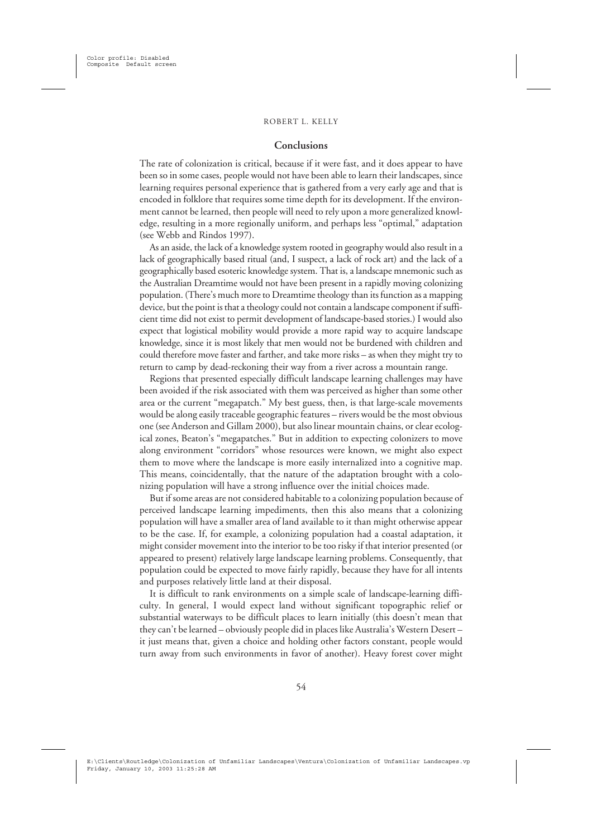# **Conclusions**

The rate of colonization is critical, because if it were fast, and it does appear to have been so in some cases, people would not have been able to learn their landscapes, since learning requires personal experience that is gathered from a very early age and that is encoded in folklore that requires some time depth for its development. If the environment cannot be learned, then people will need to rely upon a more generalized knowledge, resulting in a more regionally uniform, and perhaps less "optimal," adaptation (see Webb and Rindos 1997).

As an aside, the lack of a knowledge system rooted in geography would also result in a lack of geographically based ritual (and, I suspect, a lack of rock art) and the lack of a geographically based esoteric knowledge system. That is, a landscape mnemonic such as the Australian Dreamtime would not have been present in a rapidly moving colonizing population. (There's much more to Dreamtime theology than its function as a mapping device, but the point is that a theology could not contain a landscape component if sufficient time did not exist to permit development of landscape-based stories.) I would also expect that logistical mobility would provide a more rapid way to acquire landscape knowledge, since it is most likely that men would not be burdened with children and could therefore move faster and farther, and take more risks – as when they might try to return to camp by dead-reckoning their way from a river across a mountain range.

Regions that presented especially difficult landscape learning challenges may have been avoided if the risk associated with them was perceived as higher than some other area or the current "megapatch." My best guess, then, is that large-scale movements would be along easily traceable geographic features – rivers would be the most obvious one (see Anderson and Gillam 2000), but also linear mountain chains, or clear ecological zones, Beaton's "megapatches." But in addition to expecting colonizers to move along environment "corridors" whose resources were known, we might also expect them to move where the landscape is more easily internalized into a cognitive map. This means, coincidentally, that the nature of the adaptation brought with a colonizing population will have a strong influence over the initial choices made.

But if some areas are not considered habitable to a colonizing population because of perceived landscape learning impediments, then this also means that a colonizing population will have a smaller area of land available to it than might otherwise appear to be the case. If, for example, a colonizing population had a coastal adaptation, it might consider movement into the interior to be too risky if that interior presented (or appeared to present) relatively large landscape learning problems. Consequently, that population could be expected to move fairly rapidly, because they have for all intents and purposes relatively little land at their disposal.

It is difficult to rank environments on a simple scale of landscape-learning difficulty. In general, I would expect land without significant topographic relief or substantial waterways to be difficult places to learn initially (this doesn't mean that they can't be learned – obviously people did in places like Australia's Western Desert – it just means that, given a choice and holding other factors constant, people would turn away from such environments in favor of another). Heavy forest cover might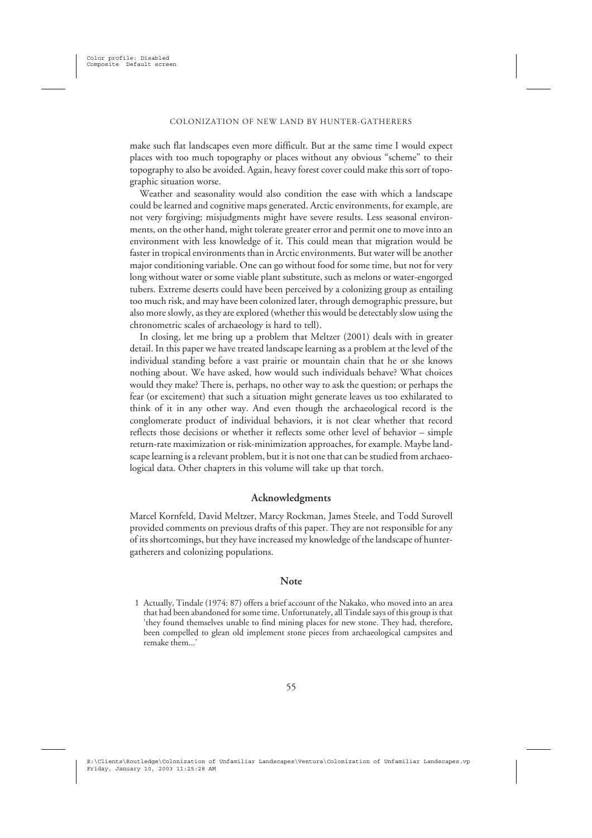make such flat landscapes even more difficult. But at the same time I would expect places with too much topography or places without any obvious "scheme" to their topography to also be avoided. Again, heavy forest cover could make this sort of topographic situation worse.

Weather and seasonality would also condition the ease with which a landscape could be learned and cognitive maps generated. Arctic environments, for example, are not very forgiving; misjudgments might have severe results. Less seasonal environments, on the other hand, might tolerate greater error and permit one to move into an environment with less knowledge of it. This could mean that migration would be faster in tropical environments than in Arctic environments. But water will be another major conditioning variable. One can go without food for some time, but not for very long without water or some viable plant substitute, such as melons or water-engorged tubers. Extreme deserts could have been perceived by a colonizing group as entailing too much risk, and may have been colonized later, through demographic pressure, but also more slowly, as they are explored (whether this would be detectably slow using the chronometric scales of archaeology is hard to tell).

In closing, let me bring up a problem that Meltzer (2001) deals with in greater detail. In this paper we have treated landscape learning as a problem at the level of the individual standing before a vast prairie or mountain chain that he or she knows nothing about. We have asked, how would such individuals behave? What choices would they make? There is, perhaps, no other way to ask the question; or perhaps the fear (or excitement) that such a situation might generate leaves us too exhilarated to think of it in any other way. And even though the archaeological record is the conglomerate product of individual behaviors, it is not clear whether that record reflects those decisions or whether it reflects some other level of behavior – simple return-rate maximization or risk-minimization approaches, for example. Maybe landscape learning is a relevant problem, but it is not one that can be studied from archaeological data. Other chapters in this volume will take up that torch.

# **Acknowledgments**

Marcel Kornfeld, David Meltzer, Marcy Rockman, James Steele, and Todd Surovell provided comments on previous drafts of this paper. They are not responsible for any of its shortcomings, but they have increased my knowledge of the landscape of huntergatherers and colonizing populations.

### **Note**

1 Actually, Tindale (1974: 87) offers a brief account of the Nakako, who moved into an area that had been abandoned for some time. Unfortunately, all Tindale says of this group is that 'they found themselves unable to find mining places for new stone. They had, therefore, been compelled to glean old implement stone pieces from archaeological campsites and remake them...'

E:\Clients\Routledge\Colonization of Unfamiliar Landscapes\Ventura\Colonization of Unfamiliar Landscapes.vp Friday, January 10, 2003 11:25:28 AM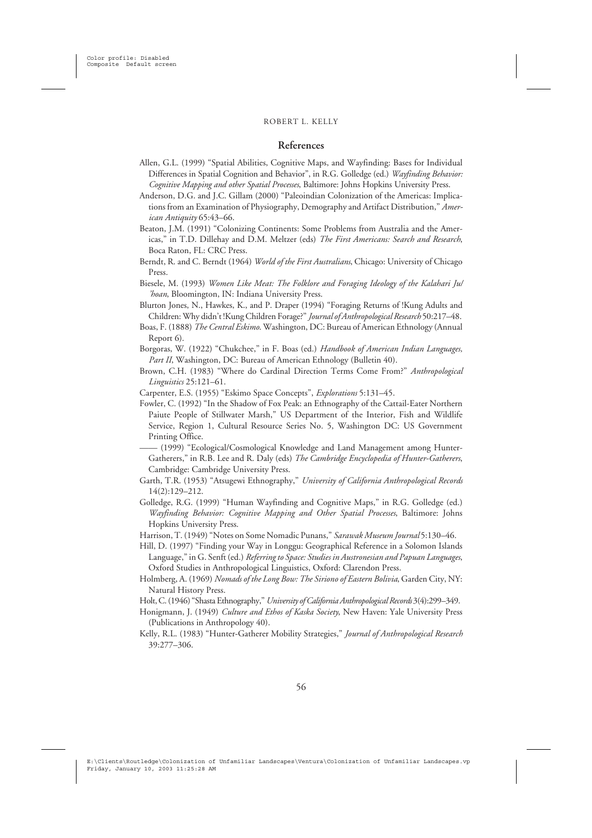### **References**

- Allen, G.L. (1999) "Spatial Abilities, Cognitive Maps, and Wayfinding: Bases for Individual Differences in Spatial Cognition and Behavior", in R.G. Golledge (ed.) *Wayfinding Behavior: Cognitive Mapping and other Spatial Processes*, Baltimore: Johns Hopkins University Press.
- Anderson, D.G. and J.C. Gillam (2000) "Paleoindian Colonization of the Americas: Implications from an Examination of Physiography, Demography and Artifact Distribution," *American Antiquity* 65:43–66.
- Beaton, J.M. (1991) "Colonizing Continents: Some Problems from Australia and the Americas," in T.D. Dillehay and D.M. Meltzer (eds) *The First Americans: Search and Research*, Boca Raton, FL: CRC Press.
- Berndt, R. and C. Berndt (1964) *World of the First Australians*, Chicago: University of Chicago Press.
- Biesele, M. (1993) *Women Like Meat: The Folklore and Foraging Ideology of the Kalahari Ju/ 'hoan*, Bloomington, IN: Indiana University Press.
- Blurton Jones, N., Hawkes, K., and P. Draper (1994) "Foraging Returns of !Kung Adults and Children: Why didn't !Kung Children Forage?" *Journal of Anthropological Research* 50:217–48.
- Boas, F. (1888) *The Central Eskimo*. Washington, DC: Bureau of American Ethnology (Annual Report 6).
- Borgoras, W. (1922) "Chukchee," in F. Boas (ed.) *Handbook of American Indian Languages,* Part II, Washington, DC: Bureau of American Ethnology (Bulletin 40).
- Brown, C.H. (1983) "Where do Cardinal Direction Terms Come From?" *Anthropological Linguistics* 25:121–61.
- Carpenter, E.S. (1955) "Eskimo Space Concepts", *Explorations* 5:131–45.
- Fowler, C. (1992) "In the Shadow of Fox Peak: an Ethnography of the Cattail-Eater Northern Paiute People of Stillwater Marsh," US Department of the Interior, Fish and Wildlife Service, Region 1, Cultural Resource Series No. 5, Washington DC: US Government Printing Office.
- (1999) "Ecological/Cosmological Knowledge and Land Management among Hunter-Gatherers," in R.B. Lee and R. Daly (eds) *The Cambridge Encyclopedia of Hunter-Gatherers*, Cambridge: Cambridge University Press.
- Garth, T.R. (1953) "Atsugewi Ethnography," *University of California Anthropological Records* 14(2):129–212.
- Golledge, R.G. (1999) "Human Wayfinding and Cognitive Maps," in R.G. Golledge (ed.) *Wayfinding Behavior: Cognitive Mapping and Other Spatial Processes*, Baltimore: Johns Hopkins University Press.
- Harrison, T. (1949) "Notes on Some Nomadic Punans," *Sarawak Museum Journal* 5:130–46.
- Hill, D. (1997) "Finding your Way in Longgu: Geographical Reference in a Solomon Islands Language," in G. Senft (ed.) *Referring to Space: Studies in Austronesian and Papuan Languages*, Oxford Studies in Anthropological Linguistics, Oxford: Clarendon Press.
- Holmberg, A. (1969) *Nomads of the Long Bow: The Siriono of Eastern Bolivia*, Garden City, NY: Natural History Press.
- Holt, C. (1946) "Shasta Ethnography,"*University of California Anthropological Records* 3(4):299–349.
- Honigmann, J. (1949) *Culture and Ethos of Kaska Society*, New Haven: Yale University Press (Publications in Anthropology 40).
- Kelly, R.L. (1983) "Hunter-Gatherer Mobility Strategies," *Journal of Anthropological Research* 39:277–306.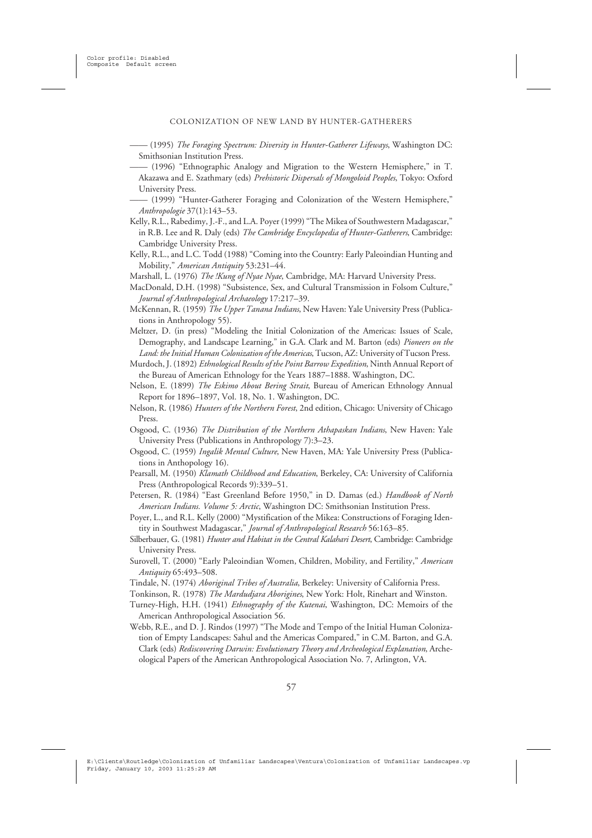—— (1995) *The Foraging Spectrum: Diversity in Hunter-Gatherer Lifeways*, Washington DC: Smithsonian Institution Press.

(1996) "Ethnographic Analogy and Migration to the Western Hemisphere," in T. Akazawa and E. Szathmary (eds) *Prehistoric Dispersals of Mongoloid Peoples*, Tokyo: Oxford University Press.

- (1999) "Hunter-Gatherer Foraging and Colonization of the Western Hemisphere," *Anthropologie* 37(1):143–53.
- Kelly, R.L., Rabedimy, J.-F., and L.A. Poyer (1999) "The Mikea of Southwestern Madagascar," in R.B. Lee and R. Daly (eds) *The Cambridge Encyclopedia of Hunter-Gatherers*, Cambridge: Cambridge University Press.
- Kelly, R.L., and L.C. Todd (1988) "Coming into the Country: Early Paleoindian Hunting and Mobility," *American Antiquity* 53:231–44.
- Marshall, L. (1976) *The !Kung of Nyae Nyae*, Cambridge, MA: Harvard University Press.
- MacDonald, D.H. (1998) "Subsistence, Sex, and Cultural Transmission in Folsom Culture," *Journal of Anthropological Archaeology* 17:217–39.
- McKennan, R. (1959) *The Upper Tanana Indians*, New Haven: Yale University Press (Publications in Anthropology 55).
- Meltzer, D. (in press) "Modeling the Initial Colonization of the Americas: Issues of Scale, Demography, and Landscape Learning," in G.A. Clark and M. Barton (eds) *Pioneers on the Land: the Initial Human Colonization of the Americas*, Tucson, AZ: University of Tucson Press.
- Murdoch, J. (1892) *Ethnological Results of the Point Barrow Expedition*, Ninth Annual Report of the Bureau of American Ethnology for the Years 1887–1888. Washington, DC.
- Nelson, E. (1899) *The Eskimo About Bering Strait*, Bureau of American Ethnology Annual Report for 1896–1897, Vol. 18, No. 1. Washington, DC.
- Nelson, R. (1986) *Hunters of the Northern Forest*, 2nd edition, Chicago: University of Chicago Press.
- Osgood, C. (1936) *The Distribution of the Northern Athapaskan Indians*, New Haven: Yale University Press (Publications in Anthropology 7):3–23.
- Osgood, C. (1959) *Ingalik Mental Culture*, New Haven, MA: Yale University Press (Publications in Anthopology 16).
- Pearsall, M. (1950) *Klamath Childhood and Education*, Berkeley, CA: University of California Press (Anthropological Records 9):339–51.

Petersen, R. (1984) "East Greenland Before 1950," in D. Damas (ed.) *Handbook of North American Indians. Volume 5: Arctic*, Washington DC: Smithsonian Institution Press.

- Poyer, L., and R.L. Kelly (2000) "Mystification of the Mikea: Constructions of Foraging Identity in Southwest Madagascar," *Journal of Anthropological Research* 56:163–85.
- Silberbauer, G. (1981) *Hunter and Habitat in the Central Kalahari Desert*, Cambridge: Cambridge University Press.
- Surovell, T. (2000) "Early Paleoindian Women, Children, Mobility, and Fertility," *American Antiquity* 65:493–508.
- Tindale, N. (1974) *Aboriginal Tribes of Australia*, Berkeley: University of California Press.
- Tonkinson, R. (1978) *The Mardudjara Aborigines*, New York: Holt, Rinehart and Winston.
- Turney-High, H.H. (1941) *Ethnography of the Kutenai*, Washington, DC: Memoirs of the American Anthropological Association 56.
- Webb, R.E., and D. J. Rindos (1997) "The Mode and Tempo of the Initial Human Colonization of Empty Landscapes: Sahul and the Americas Compared," in C.M. Barton, and G.A. Clark (eds) *Rediscovering Darwin: Evolutionary Theory and Archeological Explanation*, Archeological Papers of the American Anthropological Association No. 7, Arlington, VA.

E:\Clients\Routledge\Colonization of Unfamiliar Landscapes\Ventura\Colonization of Unfamiliar Landscapes.vp Friday, January 10, 2003 11:25:29 AM